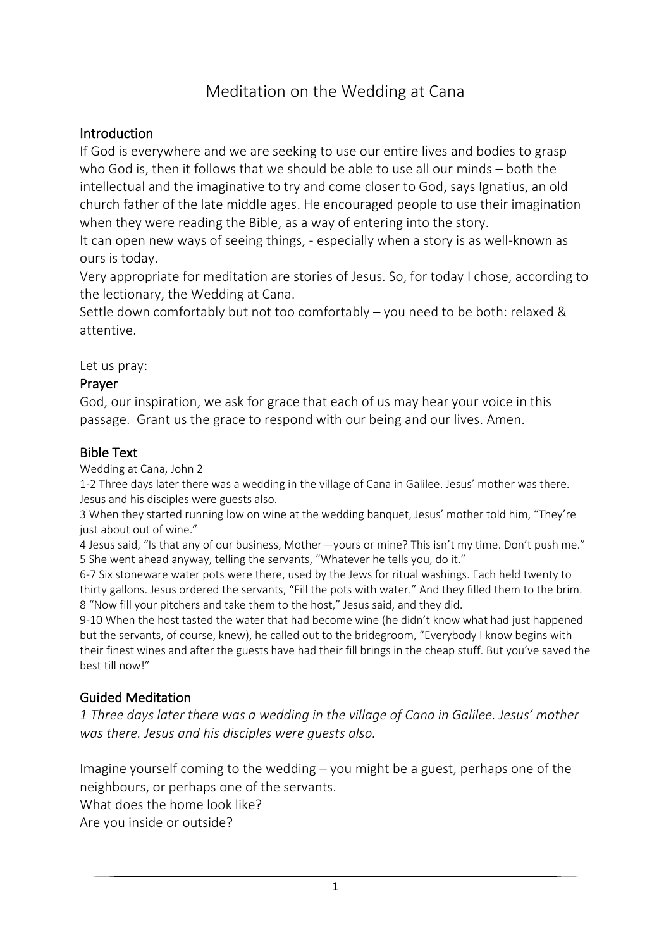# Meditation on the Wedding at Cana

## **Introduction**

If God is everywhere and we are seeking to use our entire lives and bodies to grasp who God is, then it follows that we should be able to use all our minds – both the intellectual and the imaginative to try and come closer to God, says Ignatius, an old church father of the late middle ages. He encouraged people to use their imagination when they were reading the Bible, as a way of entering into the story.

It can open new ways of seeing things, - especially when a story is as well-known as ours is today.

Very appropriate for meditation are stories of Jesus. So, for today I chose, according to the lectionary, the Wedding at Cana.

Settle down comfortably but not too comfortably – you need to be both: relaxed & attentive.

Let us pray:

## Prayer

God, our inspiration, we ask for grace that each of us may hear your voice in this passage. Grant us the grace to respond with our being and our lives. Amen.

#### Bible Text

Wedding at Cana, John 2

1-2 Three days later there was a wedding in the village of Cana in Galilee. Jesus' mother was there. Jesus and his disciples were guests also.

3 When they started running low on wine at the wedding banquet, Jesus' mother told him, "They're just about out of wine."

4 Jesus said, "Is that any of our business, Mother-yours or mine? This isn't my time. Don't push me." 5 She went ahead anyway, telling the servants, "Whatever he tells you, do it."

6-7 Six stoneware water pots were there, used by the Jews for ritual washings. Each held twenty to thirty gallons. Jesus ordered the servants, "Fill the pots with water." And they filled them to the brim. 8 "Now fill your pitchers and take them to the host," Jesus said, and they did.

9-10 When the host tasted the water that had become wine (he didn't know what had just happened but the servants, of course, knew), he called out to the bridegroom, "Everybody I know begins with their finest wines and after the guests have had their fill brings in the cheap stuff. But you've saved the best till now!"

# Guided Meditation

*1 Three days later there was a wedding in the village of Cana in Galilee. Jesus' mother was there. Jesus and his disciples were guests also.*

Imagine yourself coming to the wedding – you might be a guest, perhaps one of the neighbours, or perhaps one of the servants.

What does the home look like?

Are you inside or outside?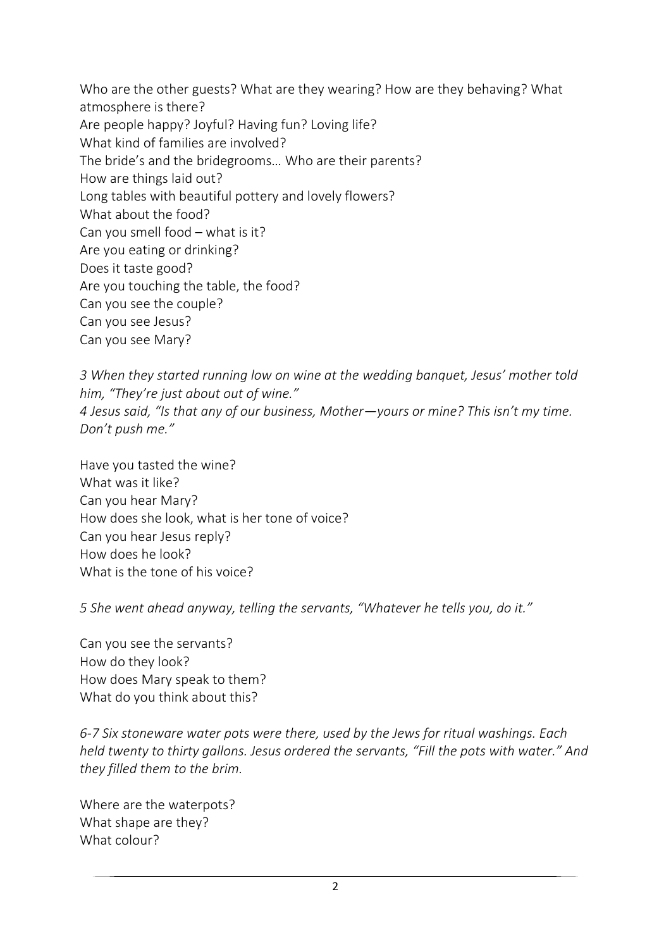Who are the other guests? What are they wearing? How are they behaving? What atmosphere is there? Are people happy? Joyful? Having fun? Loving life? What kind of families are involved? The bride's and the bridegrooms… Who are their parents? How are things laid out? Long tables with beautiful pottery and lovely flowers? What about the food? Can you smell food – what is it? Are you eating or drinking? Does it taste good? Are you touching the table, the food? Can you see the couple? Can you see Jesus? Can you see Mary?

*3 When they started running low on wine at the wedding banquet, Jesus' mother told him, "They're just about out of wine." 4 Jesus said, "Is that any of our business, Mother—yours or mine? This isn't my time. Don't push me."*

Have you tasted the wine? What was it like? Can you hear Mary? How does she look, what is her tone of voice? Can you hear Jesus reply? How does he look? What is the tone of his voice?

*5 She went ahead anyway, telling the servants, "Whatever he tells you, do it."*

Can you see the servants? How do they look? How does Mary speak to them? What do you think about this?

*6-7 Six stoneware water pots were there, used by the Jews for ritual washings. Each held twenty to thirty gallons. Jesus ordered the servants, "Fill the pots with water." And they filled them to the brim.*

Where are the waterpots? What shape are they? What colour?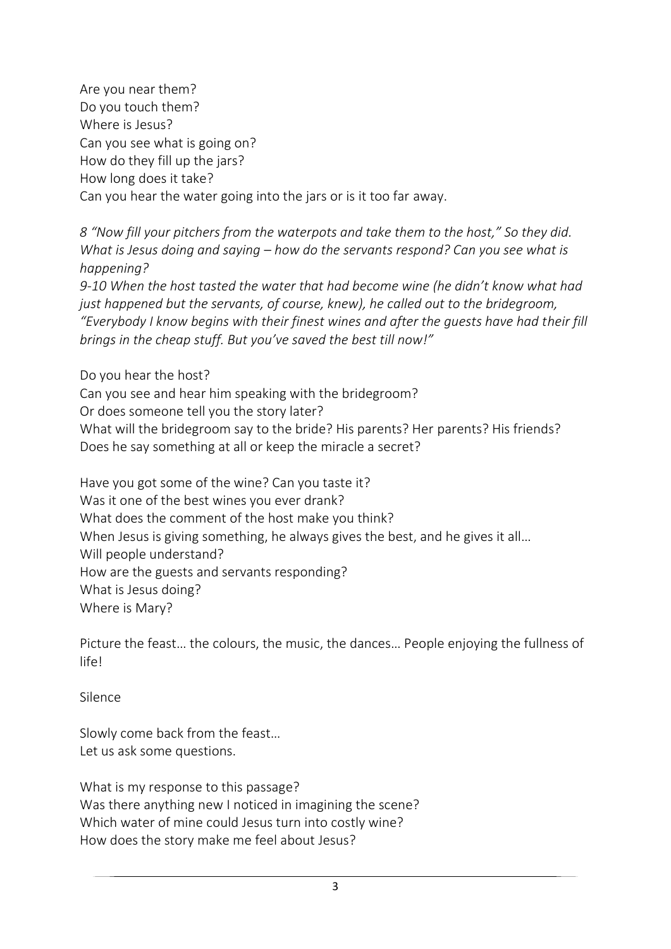Are you near them? Do you touch them? Where is Jesus? Can you see what is going on? How do they fill up the jars? How long does it take? Can you hear the water going into the jars or is it too far away.

*8 "Now fill your pitchers from the waterpots and take them to the host," So they did. What is Jesus doing and saying – how do the servants respond? Can you see what is happening?*

*9-10 When the host tasted the water that had become wine (he didn't know what had just happened but the servants, of course, knew), he called out to the bridegroom, "Everybody I know begins with their finest wines and after the guests have had their fill brings in the cheap stuff. But you've saved the best till now!"*

Do you hear the host? Can you see and hear him speaking with the bridegroom? Or does someone tell you the story later? What will the bridegroom say to the bride? His parents? Her parents? His friends? Does he say something at all or keep the miracle a secret?

Have you got some of the wine? Can you taste it? Was it one of the best wines you ever drank? What does the comment of the host make you think? When Jesus is giving something, he always gives the best, and he gives it all... Will people understand? How are the guests and servants responding? What is Jesus doing? Where is Mary?

Picture the feast… the colours, the music, the dances… People enjoying the fullness of life!

Silence

Slowly come back from the feast… Let us ask some questions.

What is my response to this passage? Was there anything new I noticed in imagining the scene? Which water of mine could Jesus turn into costly wine? How does the story make me feel about Jesus?